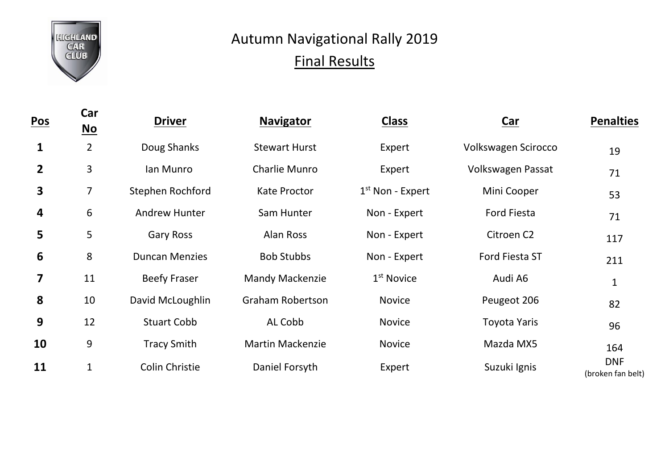

## Autumn Navigational Rally 2019 Final Results

| <b>Pos</b>     | Car<br><u>No</u> | <b>Driver</b>         | <b>Navigator</b>        | <b>Class</b>       | <b>Car</b>             | <b>Penalties</b>                |
|----------------|------------------|-----------------------|-------------------------|--------------------|------------------------|---------------------------------|
| 1              | $\overline{2}$   | Doug Shanks           | <b>Stewart Hurst</b>    | Expert             | Volkswagen Scirocco    | 19                              |
| $\overline{2}$ | 3                | lan Munro             | Charlie Munro           | Expert             | Volkswagen Passat      | 71                              |
| 3              | $\overline{7}$   | Stephen Rochford      | <b>Kate Proctor</b>     | $1st$ Non - Expert | Mini Cooper            | 53                              |
| 4              | 6                | <b>Andrew Hunter</b>  | Sam Hunter              | Non - Expert       | <b>Ford Fiesta</b>     | 71                              |
| 5              | 5                | <b>Gary Ross</b>      | Alan Ross               | Non - Expert       | Citroen C <sub>2</sub> | 117                             |
| 6              | 8                | <b>Duncan Menzies</b> | <b>Bob Stubbs</b>       | Non - Expert       | Ford Fiesta ST         | 211                             |
| 7              | 11               | <b>Beefy Fraser</b>   | <b>Mandy Mackenzie</b>  | $1st$ Novice       | Audi A6                | 1                               |
| 8              | 10               | David McLoughlin      | <b>Graham Robertson</b> | <b>Novice</b>      | Peugeot 206            | 82                              |
| 9              | 12               | <b>Stuart Cobb</b>    | AL Cobb                 | <b>Novice</b>      | <b>Toyota Yaris</b>    | 96                              |
| 10             | 9                | <b>Tracy Smith</b>    | <b>Martin Mackenzie</b> | <b>Novice</b>      | Mazda MX5              | 164                             |
| 11             | $\mathbf{1}$     | Colin Christie        | Daniel Forsyth          | Expert             | Suzuki Ignis           | <b>DNF</b><br>(broken fan belt) |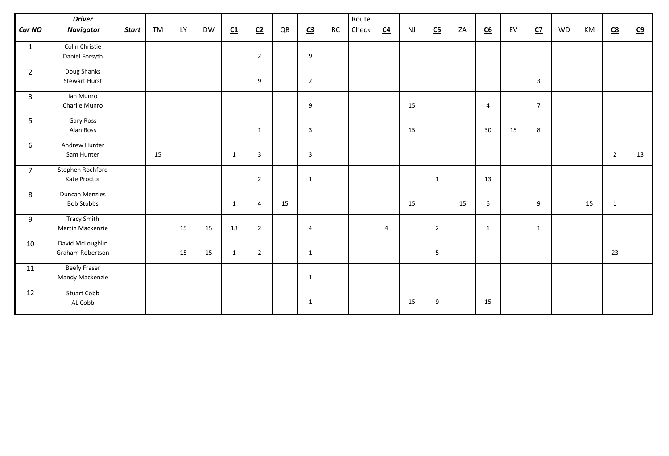|                | <b>Driver</b>           |              |           |           |           |                         |                |    |                |    | Route |                  |           |                           |    |                           |    |                |    |    |                |           |
|----------------|-------------------------|--------------|-----------|-----------|-----------|-------------------------|----------------|----|----------------|----|-------|------------------|-----------|---------------------------|----|---------------------------|----|----------------|----|----|----------------|-----------|
| <b>Car NO</b>  | Navigator               | <b>Start</b> | <b>TM</b> | <b>LY</b> | <b>DW</b> | $\underline{\text{C1}}$ | C <sub>2</sub> | QB | C <sub>3</sub> | RC | Check | $\underline{C4}$ | <b>NJ</b> | $\underline{\mathsf{C5}}$ | ZA | $\underline{\mathsf{C6}}$ | EV | C <sub>2</sub> | WD | KM | <u>C8</u>      | <u>C9</u> |
| $\mathbf{1}$   | Colin Christie          |              |           |           |           |                         |                |    |                |    |       |                  |           |                           |    |                           |    |                |    |    |                |           |
|                | Daniel Forsyth          |              |           |           |           |                         | $\overline{2}$ |    | 9              |    |       |                  |           |                           |    |                           |    |                |    |    |                |           |
| $2^{\circ}$    | Doug Shanks             |              |           |           |           |                         |                |    |                |    |       |                  |           |                           |    |                           |    |                |    |    |                |           |
|                | <b>Stewart Hurst</b>    |              |           |           |           |                         | 9              |    | $\overline{2}$ |    |       |                  |           |                           |    |                           |    | $\mathbf{3}$   |    |    |                |           |
| $\mathbf{3}$   | lan Munro               |              |           |           |           |                         |                |    |                |    |       |                  |           |                           |    |                           |    |                |    |    |                |           |
|                | Charlie Munro           |              |           |           |           |                         |                |    | 9              |    |       |                  | 15        |                           |    | $\overline{4}$            |    | $\overline{7}$ |    |    |                |           |
| 5              | <b>Gary Ross</b>        |              |           |           |           |                         |                |    |                |    |       |                  |           |                           |    |                           |    |                |    |    |                |           |
|                | Alan Ross               |              |           |           |           |                         | $\mathbf{1}$   |    | $\overline{3}$ |    |       |                  | 15        |                           |    | 30                        | 15 | 8              |    |    |                |           |
| 6              | Andrew Hunter           |              |           |           |           |                         |                |    |                |    |       |                  |           |                           |    |                           |    |                |    |    |                |           |
|                | Sam Hunter              |              | 15        |           |           | $\mathbf 1$             | $\overline{3}$ |    | $\overline{3}$ |    |       |                  |           |                           |    |                           |    |                |    |    | $\overline{2}$ | 13        |
| $\overline{7}$ | Stephen Rochford        |              |           |           |           |                         |                |    |                |    |       |                  |           |                           |    |                           |    |                |    |    |                |           |
|                | Kate Proctor            |              |           |           |           |                         | $\overline{2}$ |    | $\mathbf{1}$   |    |       |                  |           | $\mathbf{1}$              |    | 13                        |    |                |    |    |                |           |
| 8              | <b>Duncan Menzies</b>   |              |           |           |           |                         |                |    |                |    |       |                  |           |                           |    |                           |    |                |    |    |                |           |
|                | <b>Bob Stubbs</b>       |              |           |           |           | $\mathbf{1}$            | $\overline{4}$ | 15 |                |    |       |                  | 15        |                           | 15 | $\boldsymbol{6}$          |    | 9              |    | 15 | $\mathbf{1}$   |           |
| 9              | <b>Tracy Smith</b>      |              |           |           |           |                         |                |    |                |    |       |                  |           |                           |    |                           |    |                |    |    |                |           |
|                | <b>Martin Mackenzie</b> |              |           | 15        | 15        | 18                      | $\overline{2}$ |    | $\overline{4}$ |    |       | $\overline{4}$   |           | $\overline{2}$            |    | $\mathbf{1}$              |    | $\mathbf{1}$   |    |    |                |           |
| 10             | David McLoughlin        |              |           |           |           |                         |                |    |                |    |       |                  |           |                           |    |                           |    |                |    |    |                |           |
|                | <b>Graham Robertson</b> |              |           | 15        | 15        | $\mathbf 1$             | $\overline{2}$ |    | $\mathbf{1}$   |    |       |                  |           | 5                         |    |                           |    |                |    |    | 23             |           |
| 11             | <b>Beefy Fraser</b>     |              |           |           |           |                         |                |    |                |    |       |                  |           |                           |    |                           |    |                |    |    |                |           |
|                | <b>Mandy Mackenzie</b>  |              |           |           |           |                         |                |    | $\mathbf{1}$   |    |       |                  |           |                           |    |                           |    |                |    |    |                |           |
| 12             | <b>Stuart Cobb</b>      |              |           |           |           |                         |                |    |                |    |       |                  |           |                           |    |                           |    |                |    |    |                |           |
|                | AL Cobb                 |              |           |           |           |                         |                |    | $\mathbf{1}$   |    |       |                  | 15        | 9                         |    | 15                        |    |                |    |    |                |           |